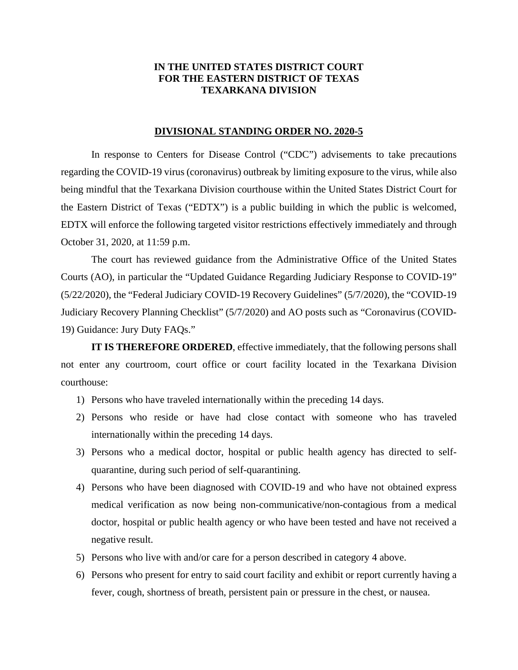## **IN THE UNITED STATES DISTRICT COURT FOR THE EASTERN DISTRICT OF TEXAS TEXARKANA DIVISION**

## **DIVISIONAL STANDING ORDER NO. 2020-5**

In response to Centers for Disease Control ("CDC") advisements to take precautions regarding the COVID-19 virus (coronavirus) outbreak by limiting exposure to the virus, while also being mindful that the Texarkana Division courthouse within the United States District Court for the Eastern District of Texas ("EDTX") is a public building in which the public is welcomed, EDTX will enforce the following targeted visitor restrictions effectively immediately and through October 31, 2020, at 11:59 p.m.

The court has reviewed guidance from the Administrative Office of the United States Courts (AO), in particular the "Updated Guidance Regarding Judiciary Response to COVID-19" (5/22/2020), the "Federal Judiciary COVID-19 Recovery Guidelines" (5/7/2020), the "COVID-19 Judiciary Recovery Planning Checklist" (5/7/2020) and AO posts such as "Coronavirus (COVID-19) Guidance: Jury Duty FAQs."

**IT IS THEREFORE ORDERED**, effective immediately, that the following persons shall not enter any courtroom, court office or court facility located in the Texarkana Division courthouse:

- 1) Persons who have traveled internationally within the preceding 14 days.
- 2) Persons who reside or have had close contact with someone who has traveled internationally within the preceding 14 days.
- 3) Persons who a medical doctor, hospital or public health agency has directed to selfquarantine, during such period of self-quarantining.
- 4) Persons who have been diagnosed with COVID-19 and who have not obtained express medical verification as now being non-communicative/non-contagious from a medical doctor, hospital or public health agency or who have been tested and have not received a negative result.
- 5) Persons who live with and/or care for a person described in category 4 above.
- 6) Persons who present for entry to said court facility and exhibit or report currently having a fever, cough, shortness of breath, persistent pain or pressure in the chest, or nausea.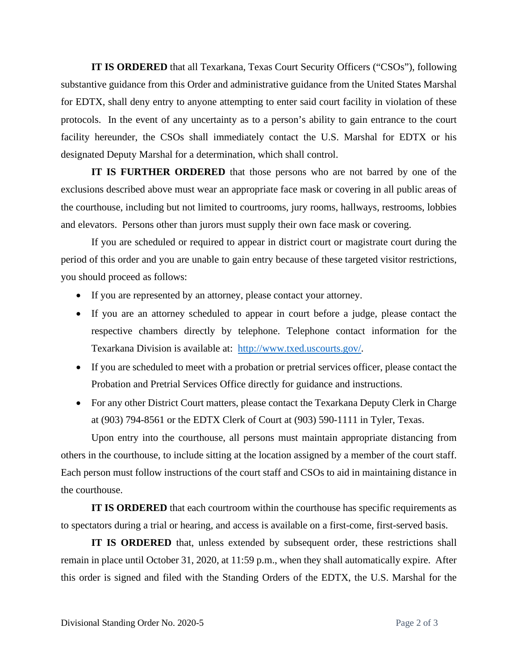**IT IS ORDERED** that all Texarkana, Texas Court Security Officers ("CSOs"), following substantive guidance from this Order and administrative guidance from the United States Marshal for EDTX, shall deny entry to anyone attempting to enter said court facility in violation of these protocols. In the event of any uncertainty as to a person's ability to gain entrance to the court facility hereunder, the CSOs shall immediately contact the U.S. Marshal for EDTX or his designated Deputy Marshal for a determination, which shall control.

**IT IS FURTHER ORDERED** that those persons who are not barred by one of the exclusions described above must wear an appropriate face mask or covering in all public areas of the courthouse, including but not limited to courtrooms, jury rooms, hallways, restrooms, lobbies and elevators. Persons other than jurors must supply their own face mask or covering.

If you are scheduled or required to appear in district court or magistrate court during the period of this order and you are unable to gain entry because of these targeted visitor restrictions, you should proceed as follows:

- If you are represented by an attorney, please contact your attorney.
- If you are an attorney scheduled to appear in court before a judge, please contact the respective chambers directly by telephone. Telephone contact information for the Texarkana Division is available at: http://www.txed.uscourts.gov/.
- If you are scheduled to meet with a probation or pretrial services officer, please contact the Probation and Pretrial Services Office directly for guidance and instructions.
- For any other District Court matters, please contact the Texarkana Deputy Clerk in Charge at (903) 794-8561 or the EDTX Clerk of Court at (903) 590-1111 in Tyler, Texas.

Upon entry into the courthouse, all persons must maintain appropriate distancing from others in the courthouse, to include sitting at the location assigned by a member of the court staff. Each person must follow instructions of the court staff and CSOs to aid in maintaining distance in the courthouse.

**IT IS ORDERED** that each courtroom within the courthouse has specific requirements as to spectators during a trial or hearing, and access is available on a first-come, first-served basis.

**IT IS ORDERED** that, unless extended by subsequent order, these restrictions shall remain in place until October 31, 2020, at 11:59 p.m., when they shall automatically expire. After this order is signed and filed with the Standing Orders of the EDTX, the U.S. Marshal for the